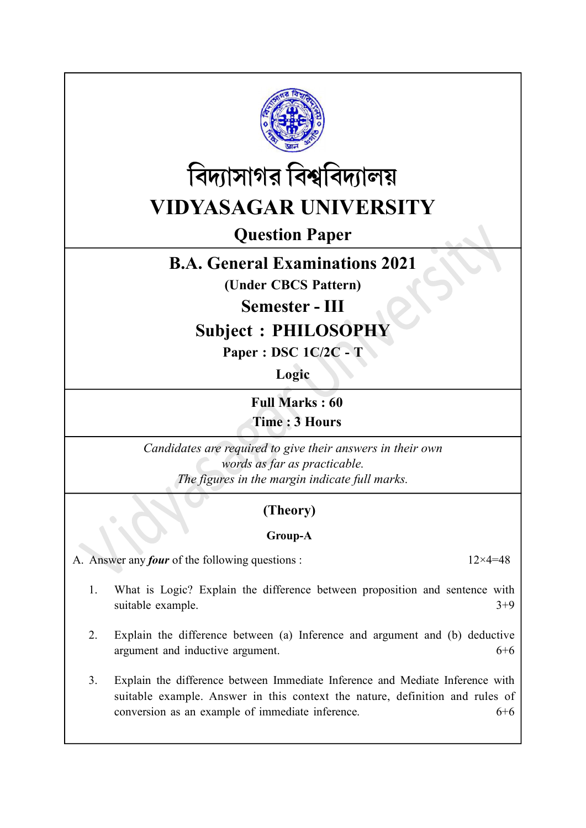



# Question Paper

## B.A. General Examinations 2021

(Under CBCS Pattern)

#### Semester - III

## Subject : PHILOSOPHY

Paper : DSC 1C/2C - T

Logic

Full Marks : 60 Time : 3 Hours

Candidates are required to give their answers in their own words as far as practicable. The figures in the margin indicate full marks.

### (Theory)

#### Group-A

A. Answer any *four* of the following questions :  $12 \times 4 = 48$ 

- 1. What is Logic? Explain the difference between proposition and sentence with suitable example.  $3+9$
- 2. Explain the difference between (a) Inference and argument and (b) deductive argument and inductive argument. 6+6
- 3. Explain the difference between Immediate Inference and Mediate Inference with suitable example. Answer in this context the nature, definition and rules of conversion as an example of immediate inference. 6+6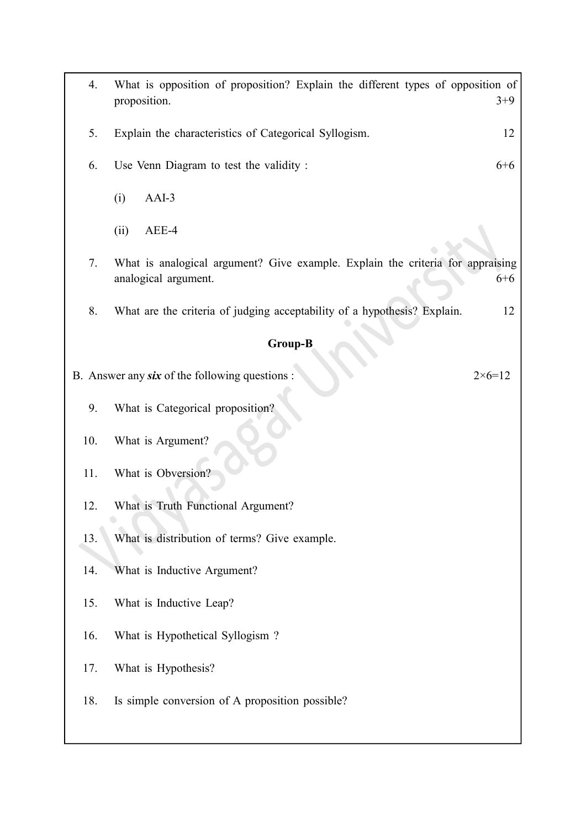| 4.      | What is opposition of proposition? Explain the different types of opposition of<br>proposition. | $3+9$             |  |  |
|---------|-------------------------------------------------------------------------------------------------|-------------------|--|--|
| 5.      | Explain the characteristics of Categorical Syllogism.                                           | 12                |  |  |
| 6.      | Use Venn Diagram to test the validity :                                                         | $6 + 6$           |  |  |
|         | $AAI-3$<br>(i)                                                                                  |                   |  |  |
|         | (ii)<br>AEE-4                                                                                   |                   |  |  |
| 7.      | What is analogical argument? Give example. Explain the criteria for appraising                  |                   |  |  |
|         | analogical argument.                                                                            | $6 + 6$           |  |  |
| 8.      | What are the criteria of judging acceptability of a hypothesis? Explain.                        | 12                |  |  |
| Group-B |                                                                                                 |                   |  |  |
|         | B. Answer any six of the following questions :                                                  | $2 \times 6 = 12$ |  |  |
| 9.      | What is Categorical proposition?                                                                |                   |  |  |
| 10.     | What is Argument?                                                                               |                   |  |  |
| 11.     | What is Obversion?                                                                              |                   |  |  |
| 12.     | What is Truth Functional Argument?                                                              |                   |  |  |
| 13.     | What is distribution of terms? Give example.                                                    |                   |  |  |
| 14.     | What is Inductive Argument?                                                                     |                   |  |  |
| 15.     | What is Inductive Leap?                                                                         |                   |  |  |
| 16.     | What is Hypothetical Syllogism?                                                                 |                   |  |  |
| 17.     | What is Hypothesis?                                                                             |                   |  |  |
| 18.     | Is simple conversion of A proposition possible?                                                 |                   |  |  |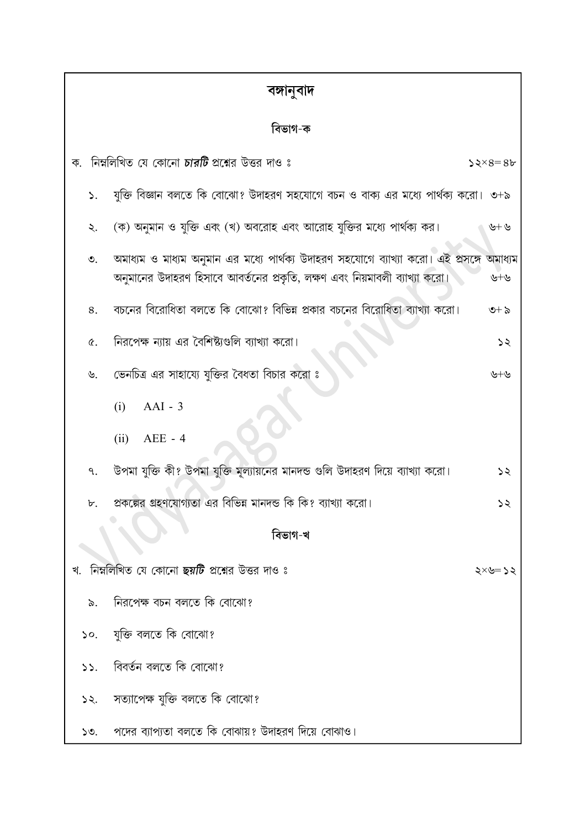| বঙ্গানুবাদ |                               |                                                                                                                                                                 |                |  |
|------------|-------------------------------|-----------------------------------------------------------------------------------------------------------------------------------------------------------------|----------------|--|
| বিভাগ-ক    |                               |                                                                                                                                                                 |                |  |
| ক.         |                               | নিম্নলিখিত যে কোনো <b>চারটি</b> প্রশ্নের উত্তর দাও ঃ                                                                                                            | $52\times8=86$ |  |
|            | ۵.                            | যুক্তি বিজ্ঞান বলতে কি বোঝো? উদাহরণ সহযোগে বচন ও বাক্য এর মধ্যে পার্থক্য করো।  ৩+৯                                                                              |                |  |
|            | ২.                            | (ক) অনুমান ও যুক্তি এবং (খ) অবরোহ এবং আরোহ যুক্তির মধ্যে পার্থক্য কর।                                                                                           | $\psi + \psi$  |  |
|            | ৩.                            | অমাধ্যম ও মাধ্যম অনুমান এর মধ্যে পার্থক্য উদাহরণ সহযোগে ব্যাখ্যা করো। এই প্রসঙ্গে<br>অনুমানের উদাহরণ হিসাবে আবর্তনের প্রকৃতি, লক্ষণ এবং নিয়মাবলী ব্যাখ্যা করো। | অমাধ্যম<br>৬+৬ |  |
|            | 8.                            | বচনের বিরোধিতা বলতে কি বোঝো? বিভিন্ন প্রকার বচনের বিরোধিতা ব্যাখ্যা করো।                                                                                        | $6 + 5$        |  |
|            | ৫.                            | নিরপেক্ষ ন্যায় এর বৈশিষ্ট্যগুলি ব্যাখ্যা করো।                                                                                                                  | ऽ२             |  |
|            | ৬.                            | ডেনচিত্র এর সাহায্যে যুক্তির বৈধতা বিচার করো ঃ                                                                                                                  | ৬+৬            |  |
|            |                               | $AAI - 3$<br>(i)                                                                                                                                                |                |  |
|            |                               | $AEE - 4$<br>(ii)                                                                                                                                               |                |  |
|            | ٩.                            | উপমা যুক্তি কী? উপমা যুক্তি মূল্যায়নের মানদন্ড গুলি উদাহরণ দিয়ে ব্যাখ্যা করো।                                                                                 | ১২             |  |
|            | ৮.                            | প্রকল্পের গ্রহণযোগ্যতা এর বিভিন্ন মানদন্ড কি কি? ব্যাখ্যা করো।                                                                                                  | ১২             |  |
| বিভাগ-খ    |                               |                                                                                                                                                                 |                |  |
| খ.         |                               | ানিম্নলিখিত যে কোনো <b>ছয়টি</b> প্রশ্নের উত্তর দাও ঃ                                                                                                           | ২<= ত×         |  |
|            | ৯.                            | নিরপেক্ষ বচন বলতে কি বোঝো?                                                                                                                                      |                |  |
|            | $\mathcal{S}^{\mathcal{O}}$ . | যুক্তি বলতে কি বোঝো?                                                                                                                                            |                |  |
|            | 55.                           | বিবৰ্তন বলতে কি বোঝো?                                                                                                                                           |                |  |
|            | 52.                           | সত্যাপেক্ষ যুক্তি বলতে কি বোঝো?                                                                                                                                 |                |  |
|            | 50.                           | পদের ব্যাপ্যতা বলতে কি বোঝায়? উদাহরণ দিয়ে বোঝাও।                                                                                                              |                |  |